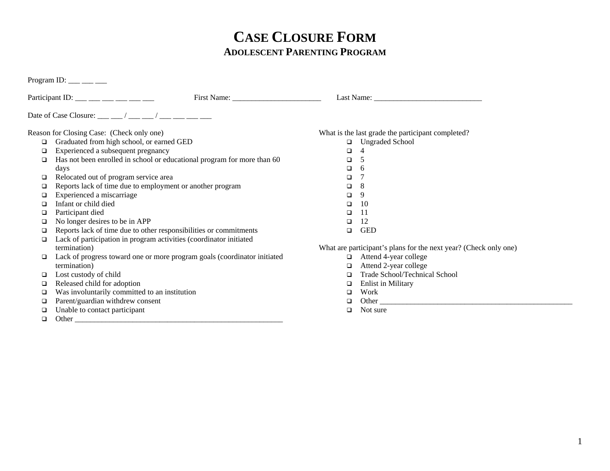## **CASE CLOSURE FORM ADOLESCENT PARENTING PROGRAM**

Program ID:  $\_\_\_\_\_\_\_\_\_\_\_\_\_\_$ 

|    | Participant ID: $\_\_\_\_\_\_\_\_\_\_\_\_\_\_\_\_\_\_\_\_\_\_\_\_\_\_\_\_$ |        |                                                                  |
|----|----------------------------------------------------------------------------|--------|------------------------------------------------------------------|
|    | Date of Case Closure: ___ __/ ___ __/ ___ ___ ___ ___                      |        |                                                                  |
|    | Reason for Closing Case: (Check only one)                                  |        | What is the last grade the participant completed?                |
|    | Graduated from high school, or earned GED                                  |        | □ Ungraded School                                                |
|    | Experienced a subsequent pregnancy                                         | □      |                                                                  |
|    | Has not been enrolled in school or educational program for more than 60    | □      | 5                                                                |
|    | days                                                                       | □      | -6                                                               |
|    | Relocated out of program service area                                      | □      |                                                                  |
|    | Reports lack of time due to employment or another program                  | □      | 8                                                                |
|    | Experienced a miscarriage                                                  | $\Box$ | 9                                                                |
|    | Infant or child died                                                       | $\Box$ | 10                                                               |
|    | Participant died                                                           | ◻      | 11                                                               |
|    | No longer desires to be in APP                                             | □      | 12                                                               |
|    | Reports lack of time due to other responsibilities or commitments          | □      | <b>GED</b>                                                       |
|    | Lack of participation in program activities (coordinator initiated         |        |                                                                  |
|    | termination)                                                               |        | What are participant's plans for the next year? (Check only one) |
|    | Lack of progress toward one or more program goals (coordinator initiated   | $\Box$ | Attend 4-year college                                            |
|    | termination)                                                               | □      | Attend 2-year college                                            |
|    | Lost custody of child                                                      |        | Trade School/Technical School                                    |
|    | Released child for adoption                                                |        | <b>Enlist in Military</b>                                        |
|    | Was involuntarily committed to an institution                              | □      | Work                                                             |
|    | Parent/guardian withdrew consent                                           |        |                                                                  |
| o. | Unable to contact participant                                              | □      | Not sure                                                         |

Other \_\_\_\_\_\_\_\_\_\_\_\_\_\_\_\_\_\_\_\_\_\_\_\_\_\_\_\_\_\_\_\_\_\_\_\_\_\_\_\_\_\_\_\_\_\_\_\_\_\_\_\_\_\_

1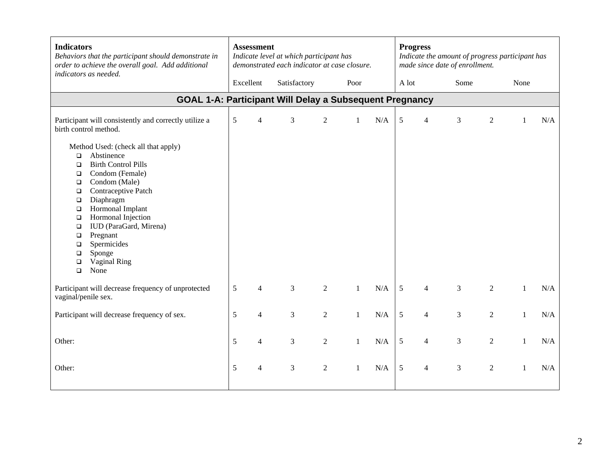| <b>Indicators</b><br>Behaviors that the participant should demonstrate in<br>order to achieve the overall goal. Add additional<br>indicators as needed.                                                                                                                                                                                                                                                                              |           | <b>Assessment</b><br>Indicate level at which participant has<br>demonstrated each indicator at case closure. |                |                |              |           |            | <b>Progress</b><br>Indicate the amount of progress participant has<br>made since date of enrollment. |                |                |              |     |  |  |
|--------------------------------------------------------------------------------------------------------------------------------------------------------------------------------------------------------------------------------------------------------------------------------------------------------------------------------------------------------------------------------------------------------------------------------------|-----------|--------------------------------------------------------------------------------------------------------------|----------------|----------------|--------------|-----------|------------|------------------------------------------------------------------------------------------------------|----------------|----------------|--------------|-----|--|--|
|                                                                                                                                                                                                                                                                                                                                                                                                                                      | Excellent |                                                                                                              | Satisfactory   |                | Poor         |           | A lot      |                                                                                                      | Some           |                |              |     |  |  |
| <b>GOAL 1-A: Participant Will Delay a Subsequent Pregnancy</b>                                                                                                                                                                                                                                                                                                                                                                       |           |                                                                                                              |                |                |              |           |            |                                                                                                      |                |                |              |     |  |  |
| Participant will consistently and correctly utilize a<br>birth control method.                                                                                                                                                                                                                                                                                                                                                       | 5         | $\overline{4}$                                                                                               | 3              | $\overline{2}$ | $\mathbf{1}$ | N/A       | 5          | $\overline{4}$                                                                                       | 3              | $\overline{2}$ | -1           | N/A |  |  |
| Method Used: (check all that apply)<br>Abstinence<br>$\Box$<br><b>Birth Control Pills</b><br>$\Box$<br>Condom (Female)<br>$\Box$<br>Condom (Male)<br>$\Box$<br>Contraceptive Patch<br>$\Box$<br>Diaphragm<br>$\Box$<br>Hormonal Implant<br>$\Box$<br>Hormonal Injection<br>$\Box$<br>IUD (ParaGard, Mirena)<br>$\Box$<br>Pregnant<br>$\Box$<br>Spermicides<br>$\Box$<br>Sponge<br>$\Box$<br>Vaginal Ring<br>$\Box$<br>None<br>$\Box$ |           |                                                                                                              |                |                |              |           |            |                                                                                                      |                |                |              |     |  |  |
| Participant will decrease frequency of unprotected<br>vaginal/penile sex.                                                                                                                                                                                                                                                                                                                                                            | 5         | 4                                                                                                            | $\overline{3}$ | $\overline{2}$ | $\mathbf{1}$ | N/A       | 5          | $\overline{4}$                                                                                       | $\overline{3}$ | $\overline{2}$ | $\mathbf{1}$ | N/A |  |  |
| Participant will decrease frequency of sex.                                                                                                                                                                                                                                                                                                                                                                                          |           | $\overline{4}$                                                                                               | 3              | $\overline{2}$ | $\mathbf{1}$ | N/A       | 5          | $\overline{4}$                                                                                       | 3              | $\overline{2}$ | $\mathbf{1}$ | N/A |  |  |
| Other:                                                                                                                                                                                                                                                                                                                                                                                                                               | 5         | $\overline{4}$                                                                                               | 3              | $\overline{2}$ | $\mathbf{1}$ | N/A       | 5          | $\overline{4}$                                                                                       | 3              | $\overline{2}$ | $\mathbf{1}$ | N/A |  |  |
| 5<br>Other:                                                                                                                                                                                                                                                                                                                                                                                                                          |           | 4                                                                                                            | 3              | $\overline{2}$ | $\mathbf{1}$ | $\rm N/A$ | $\sqrt{5}$ | $\overline{4}$                                                                                       | 3              | $\overline{2}$ | 1            | N/A |  |  |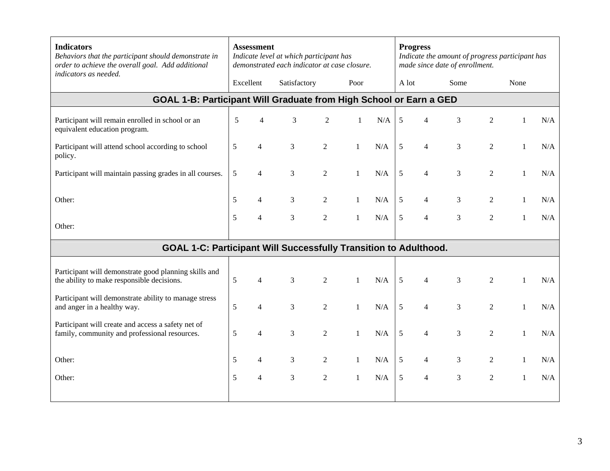| <b>Indicators</b><br>Behaviors that the participant should demonstrate in<br>order to achieve the overall goal. Add additional<br>indicators as needed. | <b>Assessment</b><br>Indicate level at which participant has<br>demonstrated each indicator at case closure. |                |                |                |              |     | <b>Progress</b><br>Indicate the amount of progress participant has<br>made since date of enrollment. |                |      |                |              |     |  |
|---------------------------------------------------------------------------------------------------------------------------------------------------------|--------------------------------------------------------------------------------------------------------------|----------------|----------------|----------------|--------------|-----|------------------------------------------------------------------------------------------------------|----------------|------|----------------|--------------|-----|--|
|                                                                                                                                                         |                                                                                                              | Excellent      | Satisfactory   |                | Poor         |     | A lot                                                                                                |                | Some |                | None         |     |  |
| GOAL 1-B: Participant Will Graduate from High School or Earn a GED                                                                                      |                                                                                                              |                |                |                |              |     |                                                                                                      |                |      |                |              |     |  |
| Participant will remain enrolled in school or an<br>equivalent education program.                                                                       | 5                                                                                                            | 4              | 3              | $\overline{2}$ | 1            | N/A | 5                                                                                                    | 4              | 3    | 2              |              | N/A |  |
| Participant will attend school according to school<br>policy.                                                                                           | 5                                                                                                            | $\overline{4}$ | 3              | $\overline{2}$ | $\mathbf{1}$ | N/A | 5                                                                                                    | $\overline{4}$ | 3    | 2              | 1            | N/A |  |
| Participant will maintain passing grades in all courses.                                                                                                | 5                                                                                                            | $\overline{4}$ | 3              | $\sqrt{2}$     | $\mathbf{1}$ | N/A | 5                                                                                                    | 4              | 3    | 2              |              | N/A |  |
| Other:                                                                                                                                                  | 5                                                                                                            | $\overline{4}$ | $\mathfrak{Z}$ | $\overline{2}$ | $\mathbf{1}$ | N/A | 5                                                                                                    | 4              | 3    | $\overline{c}$ |              | N/A |  |
| Other:                                                                                                                                                  | 5                                                                                                            | $\overline{4}$ | $\mathfrak{Z}$ | $\overline{2}$ | $\mathbf{1}$ | N/A | 5                                                                                                    | $\overline{4}$ | 3    | 2              | $\mathbf{1}$ | N/A |  |
| GOAL 1-C: Participant Will Successfully Transition to Adulthood.                                                                                        |                                                                                                              |                |                |                |              |     |                                                                                                      |                |      |                |              |     |  |
| Participant will demonstrate good planning skills and<br>the ability to make responsible decisions.                                                     | 5                                                                                                            | $\overline{4}$ | 3              | $\overline{2}$ | $\mathbf{1}$ | N/A | 5                                                                                                    | $\overline{4}$ | 3    | $\overline{2}$ |              | N/A |  |
| Participant will demonstrate ability to manage stress<br>and anger in a healthy way.                                                                    | 5                                                                                                            | $\overline{4}$ | $\mathfrak{Z}$ | $\overline{2}$ | $\mathbf{1}$ | N/A | 5                                                                                                    | 4              | 3    | 2              | -1           | N/A |  |
| Participant will create and access a safety net of<br>family, community and professional resources.                                                     | 5                                                                                                            | $\overline{4}$ | 3              | $\overline{2}$ | $\mathbf{1}$ | N/A | 5                                                                                                    | 4              | 3    | $\overline{2}$ | 1            | N/A |  |
| Other:                                                                                                                                                  | 5                                                                                                            | $\overline{4}$ | 3              | $\overline{2}$ | $\mathbf{1}$ | N/A | 5                                                                                                    | $\overline{4}$ | 3    | $\overline{2}$ | 1            | N/A |  |
| Other:                                                                                                                                                  | 5                                                                                                            | $\overline{4}$ | 3              | $\overline{2}$ | $\mathbf{1}$ | N/A | 5                                                                                                    | $\overline{4}$ | 3    | $\overline{2}$ | 1            | N/A |  |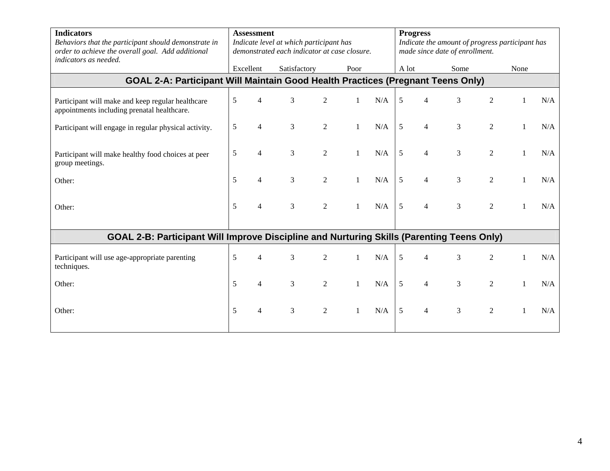| <b>Indicators</b><br>Behaviors that the participant should demonstrate in<br>order to achieve the overall goal. Add additional<br>indicators as needed. | <b>Assessment</b><br>Indicate level at which participant has<br>demonstrated each indicator at case closure. |                          |              |                |      |     |       | <b>Progress</b><br>Indicate the amount of progress participant has<br>made since date of enrollment. |      |                |  |      |  |  |
|---------------------------------------------------------------------------------------------------------------------------------------------------------|--------------------------------------------------------------------------------------------------------------|--------------------------|--------------|----------------|------|-----|-------|------------------------------------------------------------------------------------------------------|------|----------------|--|------|--|--|
|                                                                                                                                                         |                                                                                                              | Excellent                | Satisfactory |                | Poor |     | A lot |                                                                                                      | Some |                |  | None |  |  |
| GOAL 2-A: Participant Will Maintain Good Health Practices (Pregnant Teens Only)                                                                         |                                                                                                              |                          |              |                |      |     |       |                                                                                                      |      |                |  |      |  |  |
| Participant will make and keep regular healthcare<br>appointments including prenatal healthcare.                                                        | 5                                                                                                            |                          | 3            | $\overline{2}$ |      | N/A | 5     | 4                                                                                                    | 3    | $\overline{2}$ |  | N/A  |  |  |
| Participant will engage in regular physical activity.                                                                                                   | 5                                                                                                            | $\overline{\mathcal{A}}$ | 3            | $\overline{2}$ |      | N/A | 5     | $\overline{4}$                                                                                       | 3    | 2              |  | N/A  |  |  |
| Participant will make healthy food choices at peer<br>group meetings.                                                                                   | 5                                                                                                            | Δ                        | 3            | $\overline{2}$ |      | N/A | 5     | $\overline{4}$                                                                                       | 3    | $\overline{2}$ |  | N/A  |  |  |
| Other:                                                                                                                                                  | 5                                                                                                            | $\boldsymbol{\Delta}$    | 3            | $\overline{2}$ |      | N/A | 5     | $\overline{4}$                                                                                       | 3    | 2              |  | N/A  |  |  |
| Other:                                                                                                                                                  | 5                                                                                                            | 4                        | 3            | $\mathfrak{2}$ |      | N/A | 5     | 4                                                                                                    | 3    | $\overline{2}$ |  | N/A  |  |  |
| GOAL 2-B: Participant Will Improve Discipline and Nurturing Skills (Parenting Teens Only)                                                               |                                                                                                              |                          |              |                |      |     |       |                                                                                                      |      |                |  |      |  |  |
| Participant will use age-appropriate parenting<br>techniques.                                                                                           | 5                                                                                                            | Δ                        | 3            | $\overline{2}$ |      | N/A | 5     | $\overline{4}$                                                                                       | 3    | 2              |  | N/A  |  |  |
| Other:                                                                                                                                                  | 5                                                                                                            | $\boldsymbol{\Delta}$    | 3            | $\overline{2}$ |      | N/A | 5     | $\overline{4}$                                                                                       | 3    | $\mathfrak{D}$ |  | N/A  |  |  |
| Other:                                                                                                                                                  | 5                                                                                                            | $\overline{\mathcal{A}}$ | 3            | $\sqrt{2}$     |      | N/A | 5     | $\overline{4}$                                                                                       | 3    | $\overline{2}$ |  | N/A  |  |  |